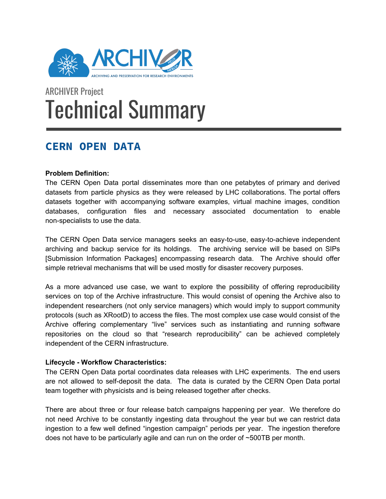

# ARCHIVER Project Technical Summary

# **CERN OPEN DATA**

## **Problem Definition:**

The CERN Open Data portal disseminates more than one petabytes of primary and derived datasets from particle physics as they were released by LHC collaborations. The portal offers datasets together with accompanying software examples, virtual machine images, condition databases, configuration files and necessary associated documentation to enable non-specialists to use the data.

The CERN Open Data service managers seeks an easy-to-use, easy-to-achieve independent archiving and backup service for its holdings. The archiving service will be based on SIPs [Submission Information Packages] encompassing research data. The Archive should offer simple retrieval mechanisms that will be used mostly for disaster recovery purposes.

As a more advanced use case, we want to explore the possibility of offering reproducibility services on top of the Archive infrastructure. This would consist of opening the Archive also to independent researchers (not only service managers) which would imply to support community protocols (such as XRootD) to access the files. The most complex use case would consist of the Archive offering complementary "live" services such as instantiating and running software repositories on the cloud so that "research reproducibility" can be achieved completely independent of the CERN infrastructure.

## **Lifecycle - Workflow Characteristics:**

The CERN Open Data portal coordinates data releases with LHC experiments. The end users are not allowed to self-deposit the data. The data is curated by the CERN Open Data portal team together with physicists and is being released together after checks.

There are about three or four release batch campaigns happening per year. We therefore do not need Archive to be constantly ingesting data throughout the year but we can restrict data ingestion to a few well defined "ingestion campaign" periods per year. The ingestion therefore does not have to be particularly agile and can run on the order of ~500TB per month.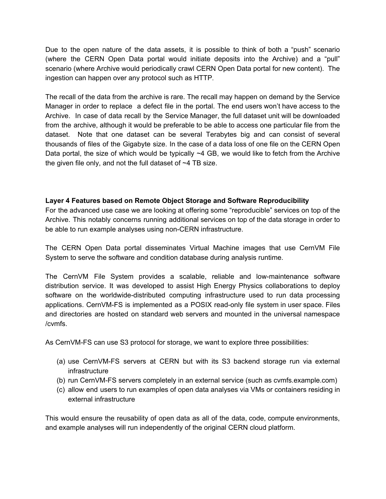Due to the open nature of the data assets, it is possible to think of both a "push" scenario (where the CERN Open Data portal would initiate deposits into the Archive) and a "pull" scenario (where Archive would periodically crawl CERN Open Data portal for new content). The ingestion can happen over any protocol such as HTTP.

The recall of the data from the archive is rare. The recall may happen on demand by the Service Manager in order to replace a defect file in the portal. The end users won't have access to the Archive. In case of data recall by the Service Manager, the full dataset unit will be downloaded from the archive, although it would be preferable to be able to access one particular file from the dataset. Note that one dataset can be several Terabytes big and can consist of several thousands of files of the Gigabyte size. In the case of a data loss of one file on the CERN Open Data portal, the size of which would be typically  $\sim$ 4 GB, we would like to fetch from the Archive the given file only, and not the full dataset of  $\sim$ 4 TB size.

#### **Layer 4 Features based on Remote Object Storage and Software Reproducibility**

For the advanced use case we are looking at offering some "reproducible" services on top of the Archive. This notably concerns running additional services on top of the data storage in order to be able to run example analyses using non-CERN infrastructure.

The CERN Open Data portal disseminates Virtual Machine images that use CernVM File System to serve the software and condition database during analysis runtime.

The CernVM File System provides a scalable, reliable and low-maintenance software distribution service. It was developed to assist High Energy Physics collaborations to deploy software on the worldwide-distributed computing infrastructure used to run data processing applications. CernVM-FS is implemented as a POSIX read-only file system in user space. Files and directories are hosted on standard web servers and mounted in the universal namespace /cvmfs.

As CernVM-FS can use S3 protocol for storage, we want to explore three possibilities:

- (a) use CernVM-FS servers at CERN but with its S3 backend storage run via external infrastructure
- (b) run CernVM-FS servers completely in an external service (such as cvmfs.example.com)
- (c) allow end users to run examples of open data analyses via VMs or containers residing in external infrastructure

This would ensure the reusability of open data as all of the data, code, compute environments, and example analyses will run independently of the original CERN cloud platform.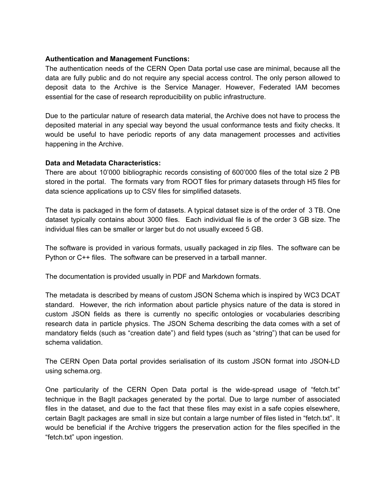#### **Authentication and Management Functions:**

The authentication needs of the CERN Open Data portal use case are minimal, because all the data are fully public and do not require any special access control. The only person allowed to deposit data to the Archive is the Service Manager. However, Federated IAM becomes essential for the case of research reproducibility on public infrastructure.

Due to the particular nature of research data material, the Archive does not have to process the deposited material in any special way beyond the usual conformance tests and fixity checks. It would be useful to have periodic reports of any data management processes and activities happening in the Archive.

#### **Data and Metadata Characteristics:**

There are about 10'000 bibliographic records consisting of 600'000 files of the total size 2 PB stored in the portal. The formats vary from ROOT files for primary datasets through H5 files for data science applications up to CSV files for simplified datasets.

The data is packaged in the form of datasets. A typical dataset size is of the order of 3 TB. One dataset typically contains about 3000 files. Each individual file is of the order 3 GB size. The individual files can be smaller or larger but do not usually exceed 5 GB.

The software is provided in various formats, usually packaged in zip files. The software can be Python or C++ files. The software can be preserved in a tarball manner.

The documentation is provided usually in PDF and Markdown formats.

The metadata is described by means of custom JSON Schema which is inspired by WC3 DCAT standard. However, the rich information about particle physics nature of the data is stored in custom JSON fields as there is currently no specific ontologies or vocabularies describing research data in particle physics. The JSON Schema describing the data comes with a set of mandatory fields (such as "creation date") and field types (such as "string") that can be used for schema validation.

The CERN Open Data portal provides serialisation of its custom JSON format into JSON-LD using schema.org.

One particularity of the CERN Open Data portal is the wide-spread usage of "fetch.txt" technique in the BagIt packages generated by the portal. Due to large number of associated files in the dataset, and due to the fact that these files may exist in a safe copies elsewhere, certain BagIt packages are small in size but contain a large number of files listed in "fetch.txt". It would be beneficial if the Archive triggers the preservation action for the files specified in the "fetch.txt" upon ingestion.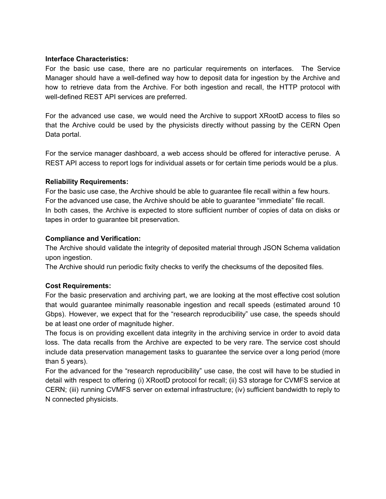#### **Interface Characteristics:**

For the basic use case, there are no particular requirements on interfaces. The Service Manager should have a well-defined way how to deposit data for ingestion by the Archive and how to retrieve data from the Archive. For both ingestion and recall, the HTTP protocol with well-defined REST API services are preferred.

For the advanced use case, we would need the Archive to support XRootD access to files so that the Archive could be used by the physicists directly without passing by the CERN Open Data portal.

For the service manager dashboard, a web access should be offered for interactive peruse. A REST API access to report logs for individual assets or for certain time periods would be a plus.

#### **Reliability Requirements:**

For the basic use case, the Archive should be able to guarantee file recall within a few hours. For the advanced use case, the Archive should be able to guarantee "immediate" file recall. In both cases, the Archive is expected to store sufficient number of copies of data on disks or tapes in order to guarantee bit preservation.

#### **Compliance and Verification:**

The Archive should validate the integrity of deposited material through JSON Schema validation upon ingestion.

The Archive should run periodic fixity checks to verify the checksums of the deposited files.

## **Cost Requirements:**

For the basic preservation and archiving part, we are looking at the most effective cost solution that would guarantee minimally reasonable ingestion and recall speeds (estimated around 10 Gbps). However, we expect that for the "research reproducibility" use case, the speeds should be at least one order of magnitude higher.

The focus is on providing excellent data integrity in the archiving service in order to avoid data loss. The data recalls from the Archive are expected to be very rare. The service cost should include data preservation management tasks to guarantee the service over a long period (more than 5 years).

For the advanced for the "research reproducibility" use case, the cost will have to be studied in detail with respect to offering (i) XRootD protocol for recall; (ii) S3 storage for CVMFS service at CERN; (iii) running CVMFS server on external infrastructure; (iv) sufficient bandwidth to reply to N connected physicists.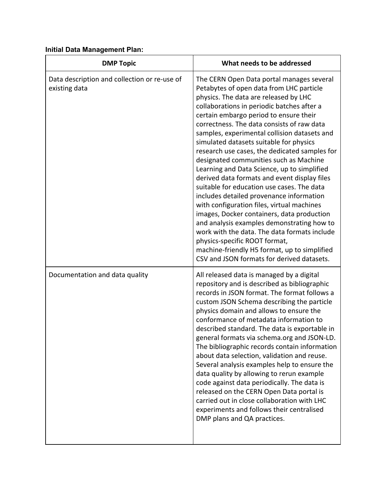# **Initial Data Management Plan:**

| <b>DMP Topic</b>                                              | What needs to be addressed                                                                                                                                                                                                                                                                                                                                                                                                                                                                                                                                                                                                                                                                                                                                                                                                                                                                                                                                                   |
|---------------------------------------------------------------|------------------------------------------------------------------------------------------------------------------------------------------------------------------------------------------------------------------------------------------------------------------------------------------------------------------------------------------------------------------------------------------------------------------------------------------------------------------------------------------------------------------------------------------------------------------------------------------------------------------------------------------------------------------------------------------------------------------------------------------------------------------------------------------------------------------------------------------------------------------------------------------------------------------------------------------------------------------------------|
| Data description and collection or re-use of<br>existing data | The CERN Open Data portal manages several<br>Petabytes of open data from LHC particle<br>physics. The data are released by LHC<br>collaborations in periodic batches after a<br>certain embargo period to ensure their<br>correctness. The data consists of raw data<br>samples, experimental collision datasets and<br>simulated datasets suitable for physics<br>research use cases, the dedicated samples for<br>designated communities such as Machine<br>Learning and Data Science, up to simplified<br>derived data formats and event display files<br>suitable for education use cases. The data<br>includes detailed provenance information<br>with configuration files, virtual machines<br>images, Docker containers, data production<br>and analysis examples demonstrating how to<br>work with the data. The data formats include<br>physics-specific ROOT format,<br>machine-friendly H5 format, up to simplified<br>CSV and JSON formats for derived datasets. |
| Documentation and data quality                                | All released data is managed by a digital<br>repository and is described as bibliographic<br>records in JSON format. The format follows a<br>custom JSON Schema describing the particle<br>physics domain and allows to ensure the<br>conformance of metadata information to<br>described standard. The data is exportable in<br>general formats via schema.org and JSON-LD.<br>The bibliographic records contain information<br>about data selection, validation and reuse.<br>Several analysis examples help to ensure the<br>data quality by allowing to rerun example<br>code against data periodically. The data is<br>released on the CERN Open Data portal is<br>carried out in close collaboration with LHC<br>experiments and follows their centralised<br>DMP plans and QA practices.                                                                                                                                                                              |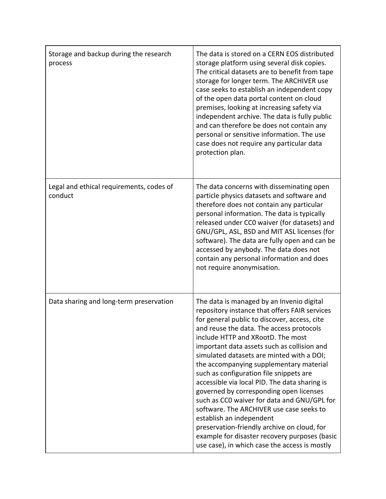| Storage and backup during the research<br>process   | The data is stored on a CERN EOS distributed<br>storage platform using several disk copies.<br>The critical datasets are to benefit from tape<br>storage for longer term. The ARCHIVER use<br>case seeks to establish an independent copy<br>of the open data portal content on cloud<br>premises, looking at increasing safety via<br>independent archive. The data is fully public<br>and can therefore be does not contain any<br>personal or sensitive information. The use<br>case does not require any particular data<br>protection plan.                                                                                                                                                                                                                                  |
|-----------------------------------------------------|-----------------------------------------------------------------------------------------------------------------------------------------------------------------------------------------------------------------------------------------------------------------------------------------------------------------------------------------------------------------------------------------------------------------------------------------------------------------------------------------------------------------------------------------------------------------------------------------------------------------------------------------------------------------------------------------------------------------------------------------------------------------------------------|
| Legal and ethical requirements, codes of<br>conduct | The data concerns with disseminating open<br>particle physics datasets and software and<br>therefore does not contain any particular<br>personal information. The data is typically<br>released under CCO waiver (for datasets) and<br>GNU/GPL, ASL, BSD and MIT ASL licenses (for<br>software). The data are fully open and can be<br>accessed by anybody. The data does not<br>contain any personal information and does<br>not require anonymisation.                                                                                                                                                                                                                                                                                                                          |
| Data sharing and long-term preservation             | The data is managed by an Invenio digital<br>repository instance that offers FAIR services<br>for general public to discover, access, cite<br>and reuse the data. The access protocols<br>include HTTP and XRootD. The most<br>important data assets such as collision and<br>simulated datasets are minted with a DOI;<br>the accompanying supplementary material<br>such as configuration file snippets are<br>accessible via local PID. The data sharing is<br>governed by corresponding open licenses<br>such as CCO waiver for data and GNU/GPL for<br>software. The ARCHIVER use case seeks to<br>establish an independent<br>preservation-friendly archive on cloud, for<br>example for disaster recovery purposes (basic<br>use case), in which case the access is mostly |